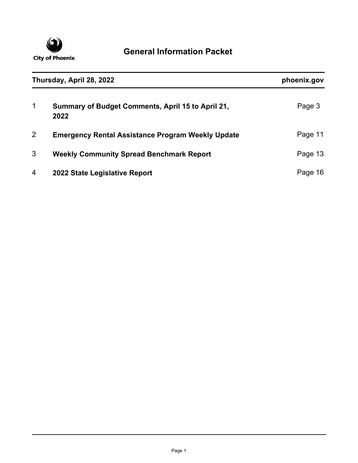

| Thursday, April 28, 2022 |                                                           | phoenix.gov |
|--------------------------|-----------------------------------------------------------|-------------|
| $\mathbf{1}$             | Summary of Budget Comments, April 15 to April 21,<br>2022 | Page 3      |
| 2                        | <b>Emergency Rental Assistance Program Weekly Update</b>  | Page 11     |
| 3                        | <b>Weekly Community Spread Benchmark Report</b>           | Page 13     |
| 4                        | 2022 State Legislative Report                             | Page<br>16  |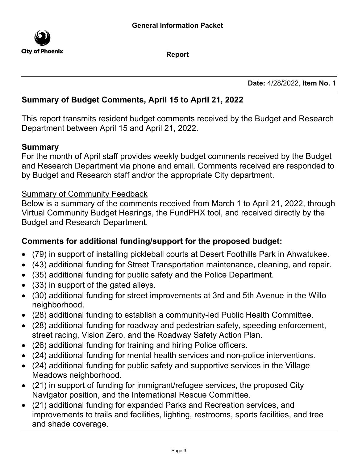

**Report**

**Date:** 4/28/2022, **Item No.** 1

### **Summary of Budget Comments, April 15 to April 21, 2022**

This report transmits resident budget comments received by the Budget and Research Department between April 15 and April 21, 2022.

### **Summary**

For the month of April staff provides weekly budget comments received by the Budget and Research Department via phone and email. Comments received are responded to by Budget and Research staff and/or the appropriate City department.

### Summary of Community Feedback

Below is a summary of the comments received from March 1 to April 21, 2022, through Virtual Community Budget Hearings, the FundPHX tool, and received directly by the Budget and Research Department.

## **Comments for additional funding/support for the proposed budget:**

- · (79) in support of installing pickleball courts at Desert Foothills Park in Ahwatukee.
- · (43) additional funding for Street Transportation maintenance, cleaning, and repair.
- · (35) additional funding for public safety and the Police Department.
- · (33) in support of the gated alleys.
- · (30) additional funding for street improvements at 3rd and 5th Avenue in the Willo neighborhood.
- · (28) additional funding to establish a community-led Public Health Committee.
- · (28) additional funding for roadway and pedestrian safety, speeding enforcement, street racing, Vision Zero, and the Roadway Safety Action Plan.
- · (26) additional funding for training and hiring Police officers.
- · (24) additional funding for mental health services and non-police interventions.
- · (24) additional funding for public safety and supportive services in the Village Meadows neighborhood.
- · (21) in support of funding for immigrant/refugee services, the proposed City Navigator position, and the International Rescue Committee.
- · (21) additional funding for expanded Parks and Recreation services, and improvements to trails and facilities, lighting, restrooms, sports facilities, and tree and shade coverage.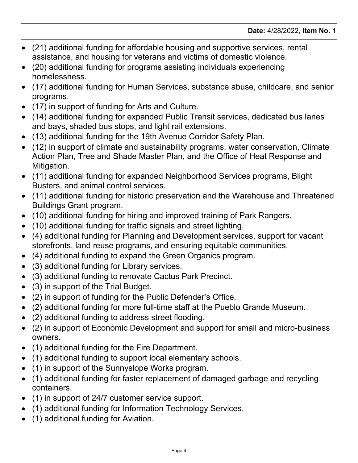- · (21) additional funding for affordable housing and supportive services, rental assistance, and housing for veterans and victims of domestic violence.
- · (20) additional funding for programs assisting individuals experiencing homelessness.
- · (17) additional funding for Human Services, substance abuse, childcare, and senior programs.
- (17) in support of funding for Arts and Culture.
- · (14) additional funding for expanded Public Transit services, dedicated bus lanes and bays, shaded bus stops, and light rail extensions.
- · (13) additional funding for the 19th Avenue Corridor Safety Plan.
- · (12) in support of climate and sustainability programs, water conservation, Climate Action Plan, Tree and Shade Master Plan, and the Office of Heat Response and Mitigation.
- · (11) additional funding for expanded Neighborhood Services programs, Blight Busters, and animal control services.
- · (11) additional funding for historic preservation and the Warehouse and Threatened Buildings Grant program.
- · (10) additional funding for hiring and improved training of Park Rangers.
- · (10) additional funding for traffic signals and street lighting.
- · (4) additional funding for Planning and Development services, support for vacant storefronts, land reuse programs, and ensuring equitable communities.
- · (4) additional funding to expand the Green Organics program.
- · (3) additional funding for Library services.
- · (3) additional funding to renovate Cactus Park Precinct.
- · (3) in support of the Trial Budget.
- (2) in support of funding for the Public Defender's Office.
- · (2) additional funding for more full-time staff at the Pueblo Grande Museum.
- · (2) additional funding to address street flooding.
- · (2) in support of Economic Development and support for small and micro-business owners.
- · (1) additional funding for the Fire Department.
- · (1) additional funding to support local elementary schools.
- · (1) in support of the Sunnyslope Works program.
- · (1) additional funding for faster replacement of damaged garbage and recycling containers.
- · (1) in support of 24/7 customer service support.
- · (1) additional funding for Information Technology Services.
- · (1) additional funding for Aviation.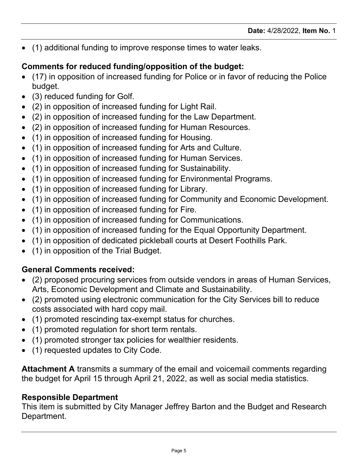· (1) additional funding to improve response times to water leaks.

# **Comments for reduced funding/opposition of the budget:**

- · (17) in opposition of increased funding for Police or in favor of reducing the Police budget.
- (3) reduced funding for Golf.
- · (2) in opposition of increased funding for Light Rail.
- · (2) in opposition of increased funding for the Law Department.
- · (2) in opposition of increased funding for Human Resources.
- · (1) in opposition of increased funding for Housing.
- · (1) in opposition of increased funding for Arts and Culture.
- · (1) in opposition of increased funding for Human Services.
- · (1) in opposition of increased funding for Sustainability.
- · (1) in opposition of increased funding for Environmental Programs.
- · (1) in opposition of increased funding for Library.
- · (1) in opposition of increased funding for Community and Economic Development.
- · (1) in opposition of increased funding for Fire.
- · (1) in opposition of increased funding for Communications.
- · (1) in opposition of increased funding for the Equal Opportunity Department.
- · (1) in opposition of dedicated pickleball courts at Desert Foothills Park.
- · (1) in opposition of the Trial Budget.

# **General Comments received:**

- · (2) proposed procuring services from outside vendors in areas of Human Services, Arts, Economic Development and Climate and Sustainability.
- · (2) promoted using electronic communication for the City Services bill to reduce costs associated with hard copy mail.
- · (1) promoted rescinding tax-exempt status for churches.
- · (1) promoted regulation for short term rentals.
- · (1) promoted stronger tax policies for wealthier residents.
- · (1) requested updates to City Code.

**Attachment A** transmits a summary of the email and voicemail comments regarding the budget for April 15 through April 21, 2022, as well as social media statistics.

## **Responsible Department**

This item is submitted by City Manager Jeffrey Barton and the Budget and Research Department.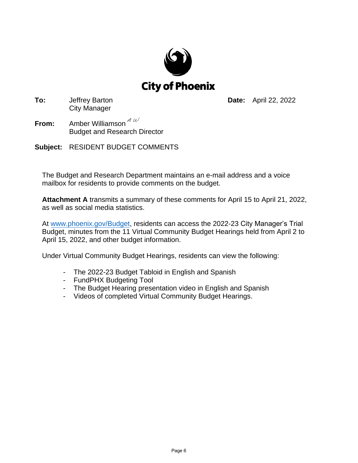

**To:** Jeffrey Barton City Manager

**Date:** April 22, 2022

- **From:** Amber Williamson<sup>2</sup> Budget and Research Director
- **Subject:** RESIDENT BUDGET COMMENTS

The Budget and Research Department maintains an e-mail address and a voice mailbox for residents to provide comments on the budget.

**Attachment A** transmits a summary of these comments for April 15 to April 21, 2022, as well as social media statistics.

A[t www.phoenix.gov/Budget,](http://www.phoenix.gov/Budget) residents can access the 2022-23 City Manager's Trial Budget, minutes from the 11 Virtual Community Budget Hearings held from April 2 to April 15, 2022, and other budget information.

Under Virtual Community Budget Hearings, residents can view the following:

- The 2022-23 Budget Tabloid in English and Spanish
- FundPHX Budgeting Tool
- The Budget Hearing presentation video in English and Spanish
- Videos of completed Virtual Community Budget Hearings.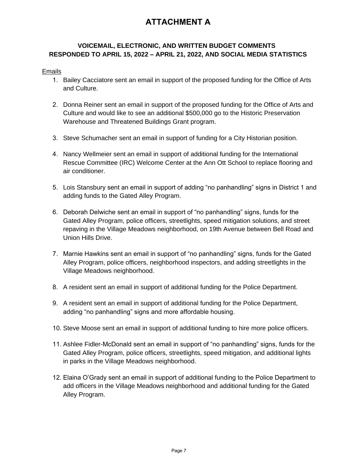## **ATTACHMENT A**

### **VOICEMAIL, ELECTRONIC, AND WRITTEN BUDGET COMMENTS RESPONDED TO APRIL 15, 2022 – APRIL 21, 2022, AND SOCIAL MEDIA STATISTICS**

#### Emails

- 1. Bailey Cacciatore sent an email in support of the proposed funding for the Office of Arts and Culture.
- 2. Donna Reiner sent an email in support of the proposed funding for the Office of Arts and Culture and would like to see an additional \$500,000 go to the Historic Preservation Warehouse and Threatened Buildings Grant program.
- 3. Steve Schumacher sent an email in support of funding for a City Historian position.
- 4. Nancy Wellmeier sent an email in support of additional funding for the International Rescue Committee (IRC) Welcome Center at the Ann Ott School to replace flooring and air conditioner.
- 5. Lois Stansbury sent an email in support of adding "no panhandling" signs in District 1 and adding funds to the Gated Alley Program.
- 6. Deborah Delwiche sent an email in support of "no panhandling" signs, funds for the Gated Alley Program, police officers, streetlights, speed mitigation solutions, and street repaving in the Village Meadows neighborhood, on 19th Avenue between Bell Road and Union Hills Drive.
- 7. Marnie Hawkins sent an email in support of "no panhandling" signs, funds for the Gated Alley Program, police officers, neighborhood inspectors, and adding streetlights in the Village Meadows neighborhood.
- 8. A resident sent an email in support of additional funding for the Police Department.
- 9. A resident sent an email in support of additional funding for the Police Department, adding "no panhandling" signs and more affordable housing.
- 10. Steve Moose sent an email in support of additional funding to hire more police officers.
- 11. Ashlee Fidler-McDonald sent an email in support of "no panhandling" signs, funds for the Gated Alley Program, police officers, streetlights, speed mitigation, and additional lights in parks in the Village Meadows neighborhood.
- 12. Elaina O'Grady sent an email in support of additional funding to the Police Department to add officers in the Village Meadows neighborhood and additional funding for the Gated Alley Program.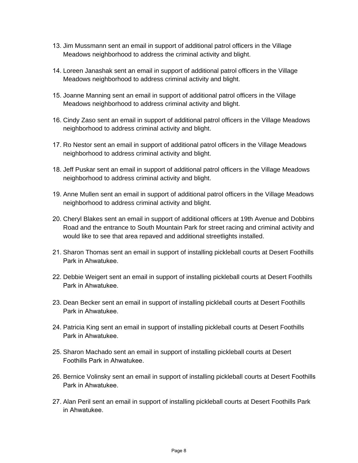- 13. Jim Mussmann sent an email in support of additional patrol officers in the Village Meadows neighborhood to address the criminal activity and blight.
- 14. Loreen Janashak sent an email in support of additional patrol officers in the Village Meadows neighborhood to address criminal activity and blight.
- 15. Joanne Manning sent an email in support of additional patrol officers in the Village Meadows neighborhood to address criminal activity and blight.
- 16. Cindy Zaso sent an email in support of additional patrol officers in the Village Meadows neighborhood to address criminal activity and blight.
- 17. Ro Nestor sent an email in support of additional patrol officers in the Village Meadows neighborhood to address criminal activity and blight.
- 18. Jeff Puskar sent an email in support of additional patrol officers in the Village Meadows neighborhood to address criminal activity and blight.
- 19. Anne Mullen sent an email in support of additional patrol officers in the Village Meadows neighborhood to address criminal activity and blight.
- 20. Cheryl Blakes sent an email in support of additional officers at 19th Avenue and Dobbins Road and the entrance to South Mountain Park for street racing and criminal activity and would like to see that area repaved and additional streetlights installed.
- 21. Sharon Thomas sent an email in support of installing pickleball courts at Desert Foothills Park in Ahwatukee.
- 22. Debbie Weigert sent an email in support of installing pickleball courts at Desert Foothills Park in Ahwatukee.
- 23. Dean Becker sent an email in support of installing pickleball courts at Desert Foothills Park in Ahwatukee.
- 24. Patricia King sent an email in support of installing pickleball courts at Desert Foothills Park in Ahwatukee.
- 25. Sharon Machado sent an email in support of installing pickleball courts at Desert Foothills Park in Ahwatukee.
- 26. Bernice Volinsky sent an email in support of installing pickleball courts at Desert Foothills Park in Ahwatukee.
- 27. Alan Peril sent an email in support of installing pickleball courts at Desert Foothills Park in Ahwatukee.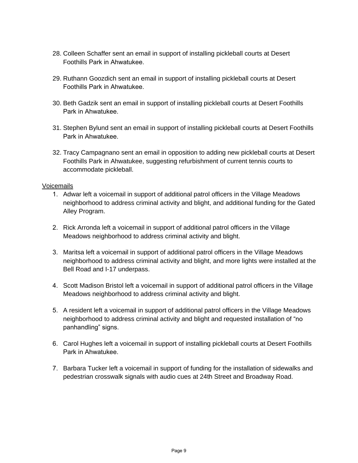- 28. Colleen Schaffer sent an email in support of installing pickleball courts at Desert Foothills Park in Ahwatukee.
- 29. Ruthann Goozdich sent an email in support of installing pickleball courts at Desert Foothills Park in Ahwatukee.
- 30. Beth Gadzik sent an email in support of installing pickleball courts at Desert Foothills Park in Ahwatukee.
- 31. Stephen Bylund sent an email in support of installing pickleball courts at Desert Foothills Park in Ahwatukee.
- 32. Tracy Campagnano sent an email in opposition to adding new pickleball courts at Desert Foothills Park in Ahwatukee, suggesting refurbishment of current tennis courts to accommodate pickleball.

#### Voicemails

- 1. Adwar left a voicemail in support of additional patrol officers in the Village Meadows neighborhood to address criminal activity and blight, and additional funding for the Gated Alley Program.
- 2. Rick Arronda left a voicemail in support of additional patrol officers in the Village Meadows neighborhood to address criminal activity and blight.
- 3. Maritsa left a voicemail in support of additional patrol officers in the Village Meadows neighborhood to address criminal activity and blight, and more lights were installed at the Bell Road and I-17 underpass.
- 4. Scott Madison Bristol left a voicemail in support of additional patrol officers in the Village Meadows neighborhood to address criminal activity and blight.
- 5. A resident left a voicemail in support of additional patrol officers in the Village Meadows neighborhood to address criminal activity and blight and requested installation of "no panhandling" signs.
- 6. Carol Hughes left a voicemail in support of installing pickleball courts at Desert Foothills Park in Ahwatukee.
- 7. Barbara Tucker left a voicemail in support of funding for the installation of sidewalks and pedestrian crosswalk signals with audio cues at 24th Street and Broadway Road.